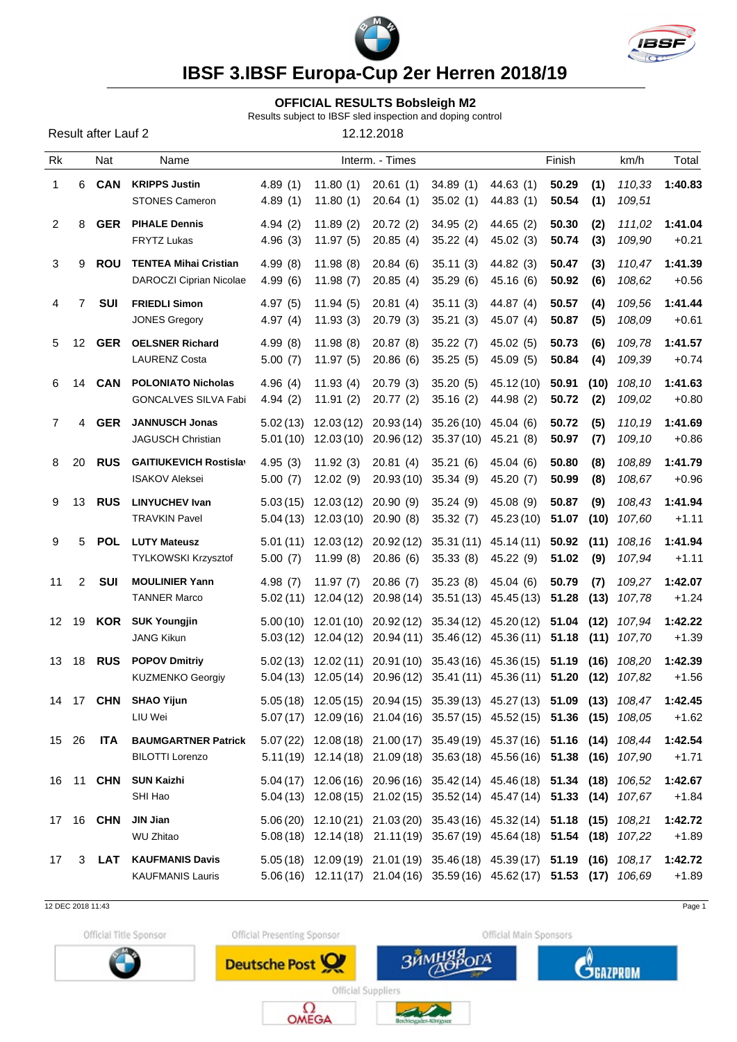



# **IBSF 3.IBSF Europa-Cup 2er Herren 2018/19**

#### **OFFICIAL RESULTS Bobsleigh M2**

Results subject to IBSF sled inspection and doping control

| Result after Lauf 2 |  |  |  |
|---------------------|--|--|--|
|---------------------|--|--|--|

12.12.2018

| <b>Rk</b>    |    | Nat              | Name                                                           |                    |                                                                | Interm. - Times                  |                                                                                                                                                       |                         | Finish         |             | km/h                        | Total              |
|--------------|----|------------------|----------------------------------------------------------------|--------------------|----------------------------------------------------------------|----------------------------------|-------------------------------------------------------------------------------------------------------------------------------------------------------|-------------------------|----------------|-------------|-----------------------------|--------------------|
| $\mathbf{1}$ | 6  | <b>CAN</b>       | <b>KRIPPS Justin</b><br><b>STONES Cameron</b>                  | 4.89(1)<br>4.89(1) | 11.80(1)<br>11.80(1)                                           | 20.61(1)<br>20.64(1)             | 34.89(1)<br>35.02(1)                                                                                                                                  | 44.63 (1)<br>44.83 (1)  | 50.29<br>50.54 | (1)<br>(1)  | 110,33<br>109,51            | 1:40.83            |
| 2            | 8  | <b>GER</b>       | <b>PIHALE Dennis</b><br>FRYTZ Lukas                            | 4.94(2)<br>4.96(3) | 11.89(2)<br>11.97 (5)                                          | 20.72(2)<br>20.85(4)             | 34.95(2)<br>35.22(4)                                                                                                                                  | 44.65(2)<br>45.02 (3)   | 50.30<br>50.74 | (2)<br>(3)  | 111.02<br>109,90            | 1:41.04<br>$+0.21$ |
| 3            | 9  | <b>ROU</b>       | <b>TENTEA Mihai Cristian</b><br><b>DAROCZI Ciprian Nicolae</b> | 4.99(8)<br>4.99(6) | 11.98(8)<br>11.98 (7)                                          | 20.84(6)<br>20.85(4)             | 35.11(3)<br>35.29(6)                                                                                                                                  | 44.82 (3)<br>45.16 (6)  | 50.47<br>50.92 | (3)<br>(6)  | 110,47<br>108,62            | 1:41.39<br>$+0.56$ |
| 4            | 7  | SUI              | <b>FRIEDLI Simon</b><br><b>JONES Gregory</b>                   | 4.97(5)<br>4.97(4) | 11.94(5)<br>11.93(3)                                           | 20.81(4)<br>20.79(3)             | 35.11(3)<br>35.21(3)                                                                                                                                  | 44.87 (4)<br>45.07 (4)  | 50.57<br>50.87 | (4)<br>(5)  | 109,56<br>108,09            | 1:41.44<br>$+0.61$ |
| 5            | 12 | <b>GER</b>       | <b>OELSNER Richard</b><br><b>LAURENZ Costa</b>                 | 4.99(8)<br>5.00(7) | 11.98(8)<br>11.97 (5)                                          | 20.87(8)<br>20.86(6)             | 35.22(7)<br>35.25(5)                                                                                                                                  | 45.02(5)<br>45.09 (5)   | 50.73<br>50.84 | (6)<br>(4)  | 109,78<br>109,39            | 1:41.57<br>$+0.74$ |
| 6            | 14 | <b>CAN</b>       | <b>POLONIATO Nicholas</b><br>GONCALVES SILVA Fabi              | 4.96(4)<br>4.94(2) | 11.93(4)<br>11.91 (2)                                          | 20.79(3)<br>20.77 (2)            | 35.20(5)<br>35.16(2)                                                                                                                                  | 45.12(10)<br>44.98 (2)  | 50.91<br>50.72 | (10)<br>(2) | 108.10<br>109,02            | 1:41.63<br>$+0.80$ |
| $7^{\circ}$  | 4  | <b>GER</b>       | <b>JANNUSCH Jonas</b><br><b>JAGUSCH Christian</b>              | 5.02 (13)          |                                                                |                                  | 12.03 (12) 20.93 (14) 35.26 (10) 45.04 (6)<br>5.01 (10) 12.03 (10) 20.96 (12) 35.37 (10) 45.21 (8)                                                    |                         | 50.72<br>50.97 | (5)<br>(7)  | 110,19<br>109,10            | 1:41.69<br>$+0.86$ |
| 8            | 20 | <b>RUS</b>       | <b>GAITIUKEVICH Rostislav</b><br><b>ISAKOV Aleksei</b>         | 4.95(3)<br>5.00(7) | 11.92(3)<br>12.02 (9)                                          | 20.81(4)<br>20.93 (10) 35.34 (9) | 35.21(6)                                                                                                                                              | 45.04 (6)<br>45.20 (7)  | 50.80<br>50.99 | (8)<br>(8)  | 108,89<br>108,67            | 1:41.79<br>$+0.96$ |
| 9            | 13 | <b>RUS</b>       | <b>LINYUCHEV Ivan</b><br><b>TRAVKIN Pavel</b>                  |                    | $5.03(15)$ 12.03(12) 20.90(9)<br>$5.04(13)$ 12.03(10) 20.90(8) |                                  | 35.24(9)<br>35.32(7)                                                                                                                                  | 45.08 (9)<br>45.23 (10) | 50.87<br>51.07 | (9)<br>(10) | 108,43<br>107,60            | 1:41.94<br>$+1.11$ |
| 9            | 5  | <b>POL</b>       | <b>LUTY Mateusz</b><br>TYLKOWSKI Krzysztof                     | 5.00(7)            | 11.99 (8)                                                      | 20.86 (6)                        | $5.01(11)$ $12.03(12)$ $20.92(12)$ $35.31(11)$ $45.14(11)$<br>35.33(8)                                                                                | 45.22 (9)               | 50.92<br>51.02 | (11)<br>(9) | 108.16<br>107,94            | 1:41.94<br>$+1.11$ |
| 11           | 2  | SUI              | <b>MOULINIER Yann</b><br><b>TANNER Marco</b>                   | 4.98(7)            | 11.97(7)                                                       | 20.86(7)                         | 35.23(8)<br>5.02 (11) 12.04 (12) 20.98 (14) 35.51 (13) 45.45 (13)                                                                                     | 45.04 (6)               | 50.79          | (7)         | 109,27<br>51.28 (13) 107,78 | 1:42.07<br>$+1.24$ |
| 12 19        |    | KOR              | <b>SUK Youngjin</b><br><b>JANG Kikun</b>                       |                    |                                                                |                                  | $5.00(10)$ 12.01 (10) 20.92 (12) 35.34 (12) 45.20 (12) 51.04 (12) 107,94<br>5.03 (12) 12.04 (12) 20.94 (11) 35.46 (12) 45.36 (11) 51.18 (11) 107,70   |                         |                |             |                             | 1:42.22<br>$+1.39$ |
| 13 18        |    | <b>RUS</b>       | <b>POPOV Dmitriy</b><br><b>KUZMENKO Georgiy</b>                |                    |                                                                |                                  | 5.02 (13) 12.02 (11) 20.91 (10) 35.43 (16) 45.36 (15) 51.19<br>5.04 (13) 12.05 (14) 20.96 (12) 35.41 (11) 45.36 (11) 51.20 (12) 107,82                |                         |                |             | $(16)$ $108.20$             | 1:42.39<br>$+1.56$ |
| 14 17        |    | <b>CHN</b>       | <b>SHAO Yijun</b><br>LIU Wei                                   |                    |                                                                |                                  | 5.05 (18) 12.05 (15) 20.94 (15) 35.39 (13) 45.27 (13) 51.09 (13) 108,47<br>5.07 (17) 12.09 (16) 21.04 (16) 35.57 (15) 45.52 (15) 51.36 (15) 108,05    |                         |                |             |                             | 1:42.45<br>$+1.62$ |
| 15 26        |    | ITA              | <b>BAUMGARTNER Patrick</b><br><b>BILOTTI Lorenzo</b>           |                    |                                                                |                                  | 5.07 (22) 12.08 (18) 21.00 (17) 35.49 (19) 45.37 (16) 51.16 (14) 108,44<br>5.11(19) 12.14(18) 21.09(18) 35.63(18) 45.56(16) 51.38 (16) 107,90         |                         |                |             |                             | 1:42.54<br>$+1.71$ |
|              |    |                  | 16 11 CHN SUN Kaizhi<br>SHI Hao                                |                    |                                                                |                                  | 5.04 (17) 12.06 (16) 20.96 (16) 35.42 (14) 45.46 (18) 51.34 (18) 106,52<br>5.04 (13) 12.08 (15) 21.02 (15) 35.52 (14) 45.47 (14) 51.33 (14) 107,67    |                         |                |             |                             | 1:42.67<br>$+1.84$ |
|              |    | 17 16 <b>CHN</b> | JIN Jian<br><b>WU Zhitao</b>                                   |                    |                                                                |                                  | 5.06 (20) 12.10 (21) 21.03 (20) 35.43 (16) 45.32 (14) 51.18 (15) 108,21<br>5.08 (18) 12.14 (18) 21.11 (19) 35.67 (19) 45.64 (18) 51.54 (18) 107,22    |                         |                |             |                             | 1:42.72<br>$+1.89$ |
| 17           | 3  | LAT              | <b>KAUFMANIS Davis</b><br><b>KAUFMANIS Lauris</b>              |                    |                                                                |                                  | 5.05 (18) 12.09 (19) 21.01 (19) 35.46 (18) 45.39 (17) 51.19 (16) 108,17 1:42.72<br>5.06(16) 12.11(17) 21.04(16) 35.59(16) 45.62(17) 51.53 (17) 106,69 |                         |                |             |                             | $+1.89$            |
|              |    |                  |                                                                |                    |                                                                |                                  |                                                                                                                                                       |                         |                |             |                             |                    |

12 DEC 2018 11:43 Page 1

Official Title Sponsor



Official Presenting Sponsor

Deutsche Post



راس



Official Suppliers  $\Omega_{\text{OMEGA}}$